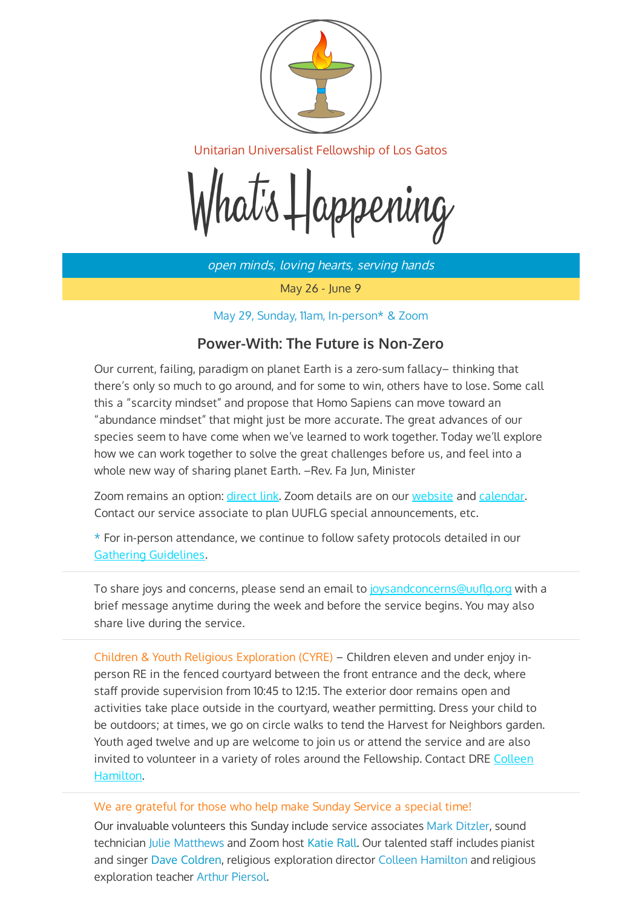

Unitarian Universalist Fellowship of Los Gatos

hat's Happening

open minds, loving hearts, serving hands

May 26 - June 9

May 29, Sunday, 11am, In-person\* & Zoom

## **Power-With: The Future is Non-Zero**

Our current, failing, paradigm on planet Earth is a zero-sum fallacy– thinking that there's only so much to go around, and for some to win, others have to lose. Some call this a "scarcity mindset" and propose that Homo Sapiens can move toward an "abundance mindset" that might just be more accurate. The great advances of our species seem to have come when we've learned to work together. Today we'll explore how we can work together to solve the great challenges before us, and feel into a whole new way of sharing planet Earth. –Rev. Fa Jun, Minister

Zoom remains an option: [direct link.](https://zoom.us/j/99832859303?pwd=U0ZPdHdtYlNvRVlHVm9mY1JZbFhWZz09) Zoom details are on our [website](https://uuflg.org/) and [calendar.](https://www.brownbearsw.com/cal/uuflg) Contact our service associate to plan UUFLG special announcements, etc.

\* For in-person attendance, we continue to follow safety protocols detailed in our [Gathering Guidelines.](https://uuflg.org/wp-content/uploads/2022/03/UUFLG-Gathering-Guidelines-for-Covid-Safety-22-March-2022.png)

To share joys and concerns, please send an email to joysandconcerns@uuflg.org with a brief message anytime during the week and before the service begins. You may also share live during the service.

Children & Youth Religious Exploration (CYRE) – Children eleven and under enjoy inperson RE in the fenced courtyard between the front entrance and the deck, where staff provide supervision from 10:45 to 12:15. The exterior door remains open and activities take place outside in the courtyard, weather permitting. Dress your child to be outdoors; at times, we go on circle walks to tend the Harvest for Neighbors garden. Youth aged twelve and up are welcome to join us or attend the service and are also invited to volunteer in a variety of roles around the Fellowship. Contact DRE [Colleen](mailto:hamiltoncolleen10@gmail.com) [Hamilton.](mailto:hamiltoncolleen10@gmail.com)

#### We are grateful for those who help make Sunday Service a special time!

Our invaluable volunteers this Sunday include service associates Mark Ditzler, sound technician Julie Matthews and Zoom host Katie Rall. Our talented staff includes pianist and singer Dave Coldren, religious exploration director Colleen Hamilton and religious exploration teacher Arthur Piersol.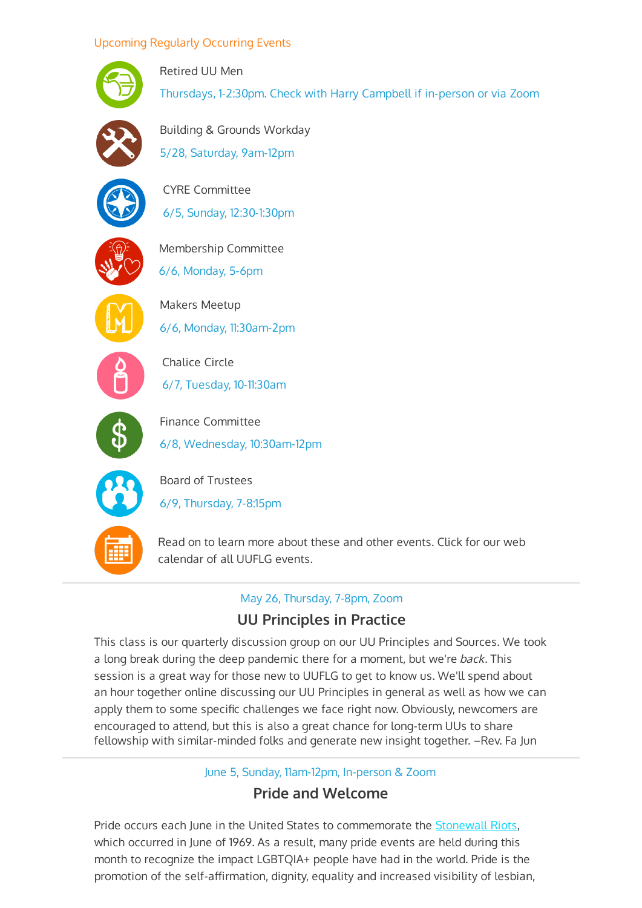#### Upcoming Regularly Occurring Events



Retired UU Men Thursdays, 1-2:30pm. Check with Harry Campbell if in-person or via Zoom



Building & Grounds Workday 5/28, Saturday, 9am-12pm



CYRE Committee 6/5, Sunday, 12:30-1:30pm



Membership Committee 6/6, Monday, 5-6pm



Makers Meetup 6/6, Monday, 11:30am-2pm



Chalice Circle 6/7, Tuesday, 10-11:30am



Finance Committee 6/8, Wednesday, 10:30am-12pm



Board of Trustees 6/9, Thursday, 7-8:15pm



[Read on to learn more about these and other events. Click for our web](https://www.brownbearsw.com/cal/uuflg) calendar of all UUFLG events.

#### May 26, Thursday, 7-8pm, Zoom

## **UU Principles in Practice**

This class is our quarterly discussion group on our UU Principles and Sources. We took a long break during the deep pandemic there for a moment, but we're back. This session is a great way for those new to UUFLG to get to know us. We'll spend about an hour together online discussing our UU Principles in general as well as how we can apply them to some specific challenges we face right now. Obviously, newcomers are encouraged to attend, but this is also a great chance for long-term UUs to share fellowship with similar-minded folks and generate new insight together. –Rev. Fa Jun

June 5, Sunday, 11am-12pm, In-person & Zoom

### **Pride and Welcome**

Pride occurs each June in the United States to commemorate the [Stonewall Riots,](https://www.history.com/topics/gay-rights/the-stonewall-riots) which occurred in June of 1969. As a result, many pride events are held during this month to recognize the impact LGBTQIA+ people have had in the world. Pride is the promotion of the self-affirmation, dignity, equality and increased visibility of lesbian,